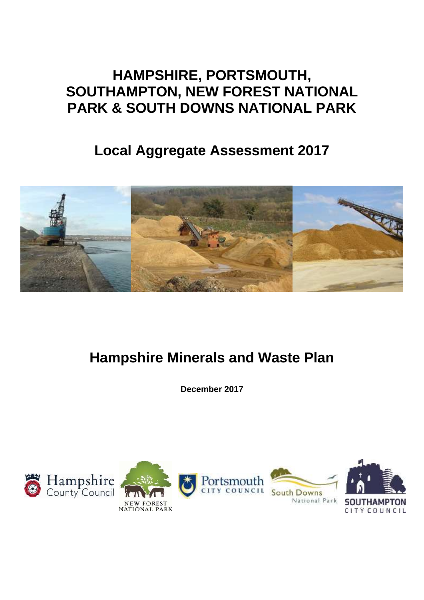# **HAMPSHIRE, PORTSMOUTH, SOUTHAMPTON, NEW FOREST NATIONAL PARK & SOUTH DOWNS NATIONAL PARK**

# **Local Aggregate Assessment 2017**



# **Hampshire Minerals and Waste Plan**

**December 2017**

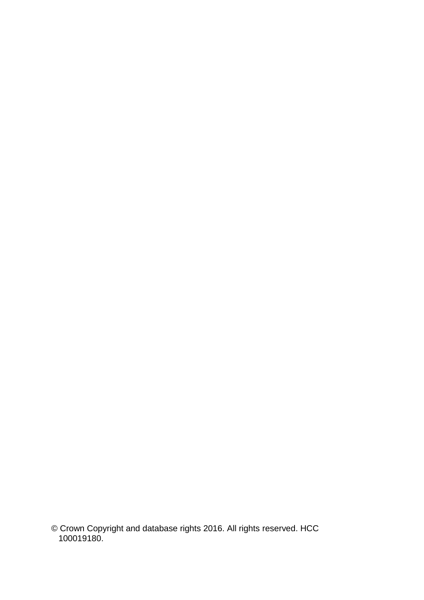© Crown Copyright and database rights 2016. All rights reserved. HCC 100019180.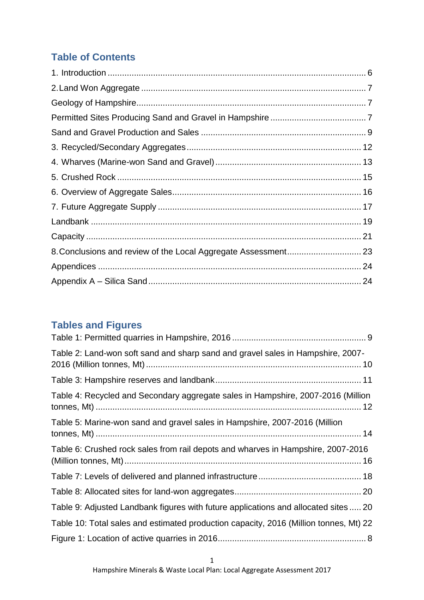# **Table of Contents**

# **Tables and Figures**

| Table 2: Land-won soft sand and sharp sand and gravel sales in Hampshire, 2007-       |  |
|---------------------------------------------------------------------------------------|--|
|                                                                                       |  |
| Table 4: Recycled and Secondary aggregate sales in Hampshire, 2007-2016 (Million      |  |
| Table 5: Marine-won sand and gravel sales in Hampshire, 2007-2016 (Million            |  |
| Table 6: Crushed rock sales from rail depots and wharves in Hampshire, 2007-2016      |  |
|                                                                                       |  |
|                                                                                       |  |
| Table 9: Adjusted Landbank figures with future applications and allocated sites  20   |  |
| Table 10: Total sales and estimated production capacity, 2016 (Million tonnes, Mt) 22 |  |
|                                                                                       |  |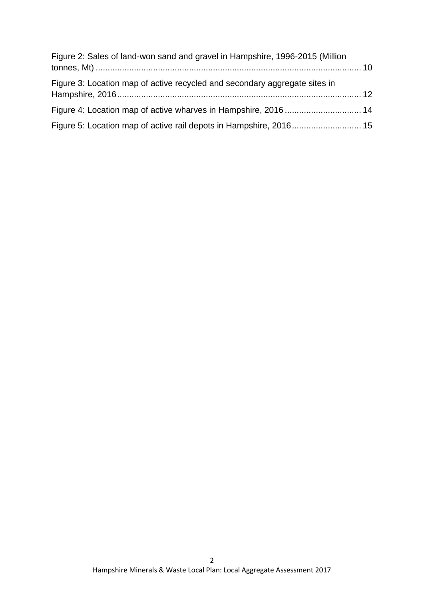| Figure 2: Sales of land-won sand and gravel in Hampshire, 1996-2015 (Million |  |
|------------------------------------------------------------------------------|--|
| Figure 3: Location map of active recycled and secondary aggregate sites in   |  |
|                                                                              |  |
| Figure 5: Location map of active rail depots in Hampshire, 2016 15           |  |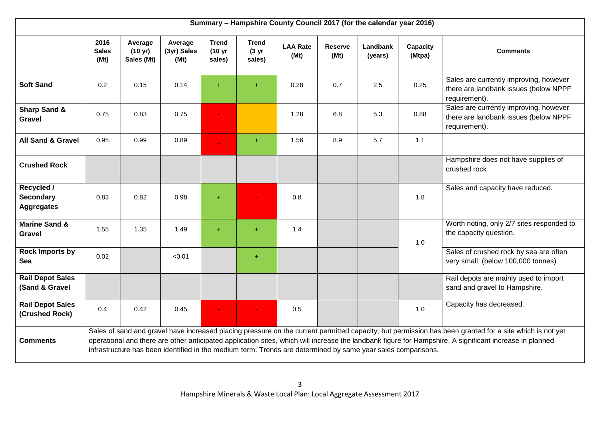|                                                     |                                                                                                                                                                                                                                                                                                                                                                                                                                    |                                            |                                |                                  |                                  |                         |                        | Summary - Hampshire County Council 2017 (for the calendar year 2016) |                    |                                                                                                  |
|-----------------------------------------------------|------------------------------------------------------------------------------------------------------------------------------------------------------------------------------------------------------------------------------------------------------------------------------------------------------------------------------------------------------------------------------------------------------------------------------------|--------------------------------------------|--------------------------------|----------------------------------|----------------------------------|-------------------------|------------------------|----------------------------------------------------------------------|--------------------|--------------------------------------------------------------------------------------------------|
|                                                     | 2016<br><b>Sales</b><br>(Mt)                                                                                                                                                                                                                                                                                                                                                                                                       | Average<br>$(10 \text{ yr})$<br>Sales (Mt) | Average<br>(3yr) Sales<br>(Mt) | <b>Trend</b><br>(10 yr<br>sales) | <b>Trend</b><br>(3 yr)<br>sales) | <b>LAA Rate</b><br>(Mt) | <b>Reserve</b><br>(Mt) | Landbank<br>(years)                                                  | Capacity<br>(Mtpa) | <b>Comments</b>                                                                                  |
| <b>Soft Sand</b>                                    | 0.2                                                                                                                                                                                                                                                                                                                                                                                                                                | 0.15                                       | 0.14                           | $\ddot{}$                        | $+$                              | 0.28                    | 0.7                    | 2.5                                                                  | 0.25               | Sales are currently improving, however<br>there are landbank issues (below NPPF<br>requirement). |
| <b>Sharp Sand &amp;</b><br><b>Gravel</b>            | 0.75                                                                                                                                                                                                                                                                                                                                                                                                                               | 0.83                                       | 0.75                           |                                  |                                  | 1.28                    | 6.8                    | 5.3                                                                  | 0.88               | Sales are currently improving, however<br>there are landbank issues (below NPPF<br>requirement). |
| <b>All Sand &amp; Gravel</b>                        | 0.95                                                                                                                                                                                                                                                                                                                                                                                                                               | 0.99                                       | 0.89                           |                                  | $+$                              | 1.56                    | 8.9                    | 5.7                                                                  | 1.1                |                                                                                                  |
| <b>Crushed Rock</b>                                 |                                                                                                                                                                                                                                                                                                                                                                                                                                    |                                            |                                |                                  |                                  |                         |                        |                                                                      |                    | Hampshire does not have supplies of<br>crushed rock                                              |
| Recycled /<br><b>Secondary</b><br><b>Aggregates</b> | 0.83                                                                                                                                                                                                                                                                                                                                                                                                                               | 0.82                                       | 0.98                           | $\ddot{}$                        |                                  | 0.8                     |                        |                                                                      | 1.8                | Sales and capacity have reduced.                                                                 |
| <b>Marine Sand &amp;</b><br>Gravel                  | 1.55                                                                                                                                                                                                                                                                                                                                                                                                                               | 1.35                                       | 1.49                           | $\ddot{}$                        | $\ddot{}$                        | 1.4                     |                        |                                                                      | 1.0                | Worth noting, only 2/7 sites responded to<br>the capacity question.                              |
| <b>Rock Imports by</b><br>Sea                       | 0.02                                                                                                                                                                                                                                                                                                                                                                                                                               |                                            | < 0.01                         |                                  | $\ddot{}$                        |                         |                        |                                                                      |                    | Sales of crushed rock by sea are often<br>very small. (below 100,000 tonnes)                     |
| <b>Rail Depot Sales</b><br>(Sand & Gravel           |                                                                                                                                                                                                                                                                                                                                                                                                                                    |                                            |                                |                                  |                                  |                         |                        |                                                                      |                    | Rail depots are mainly used to import<br>sand and gravel to Hampshire.                           |
| <b>Rail Depot Sales</b><br>(Crushed Rock)           | 0.4                                                                                                                                                                                                                                                                                                                                                                                                                                | 0.42                                       | 0.45                           |                                  |                                  | 0.5                     |                        |                                                                      | 1.0                | Capacity has decreased.                                                                          |
| <b>Comments</b>                                     | Sales of sand and gravel have increased placing pressure on the current permitted capacity; but permission has been granted for a site which is not yet<br>operational and there are other anticipated application sites, which will increase the landbank figure for Hampshire. A significant increase in planned<br>infrastructure has been identified in the medium term. Trends are determined by same year sales comparisons. |                                            |                                |                                  |                                  |                         |                        |                                                                      |                    |                                                                                                  |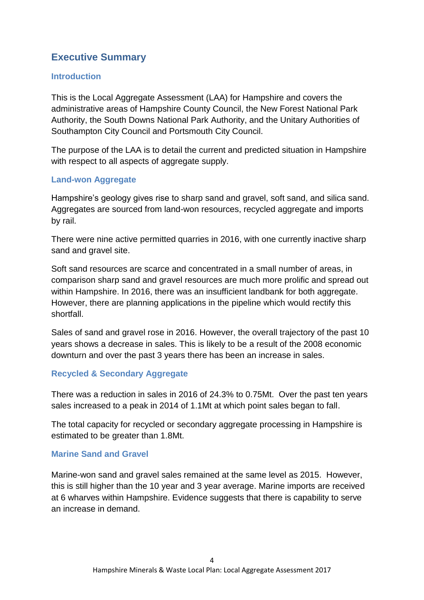# **Executive Summary**

### **Introduction**

This is the Local Aggregate Assessment (LAA) for Hampshire and covers the administrative areas of Hampshire County Council, the New Forest National Park Authority, the South Downs National Park Authority, and the Unitary Authorities of Southampton City Council and Portsmouth City Council.

The purpose of the LAA is to detail the current and predicted situation in Hampshire with respect to all aspects of aggregate supply.

### **Land-won Aggregate**

Hampshire's geology gives rise to sharp sand and gravel, soft sand, and silica sand. Aggregates are sourced from land-won resources, recycled aggregate and imports by rail.

There were nine active permitted quarries in 2016, with one currently inactive sharp sand and gravel site.

Soft sand resources are scarce and concentrated in a small number of areas, in comparison sharp sand and gravel resources are much more prolific and spread out within Hampshire. In 2016, there was an insufficient landbank for both aggregate. However, there are planning applications in the pipeline which would rectify this shortfall.

Sales of sand and gravel rose in 2016. However, the overall trajectory of the past 10 years shows a decrease in sales. This is likely to be a result of the 2008 economic downturn and over the past 3 years there has been an increase in sales.

### **Recycled & Secondary Aggregate**

There was a reduction in sales in 2016 of 24.3% to 0.75Mt. Over the past ten years sales increased to a peak in 2014 of 1.1Mt at which point sales began to fall.

The total capacity for recycled or secondary aggregate processing in Hampshire is estimated to be greater than 1.8Mt.

#### **Marine Sand and Gravel**

Marine-won sand and gravel sales remained at the same level as 2015. However, this is still higher than the 10 year and 3 year average. Marine imports are received at 6 wharves within Hampshire. Evidence suggests that there is capability to serve an increase in demand.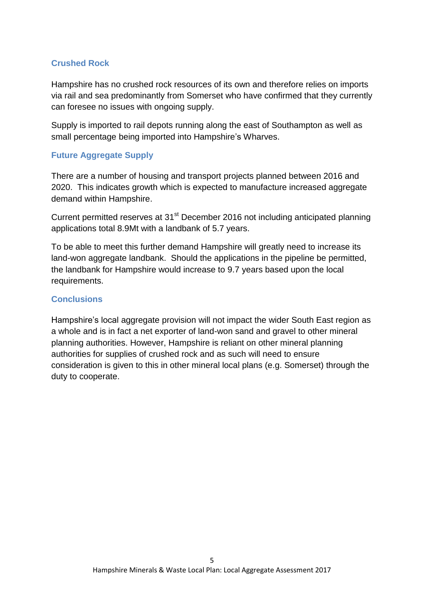### **Crushed Rock**

Hampshire has no crushed rock resources of its own and therefore relies on imports via rail and sea predominantly from Somerset who have confirmed that they currently can foresee no issues with ongoing supply.

Supply is imported to rail depots running along the east of Southampton as well as small percentage being imported into Hampshire's Wharves.

### **Future Aggregate Supply**

There are a number of housing and transport projects planned between 2016 and 2020. This indicates growth which is expected to manufacture increased aggregate demand within Hampshire.

Current permitted reserves at 31<sup>st</sup> December 2016 not including anticipated planning applications total 8.9Mt with a landbank of 5.7 years.

To be able to meet this further demand Hampshire will greatly need to increase its land-won aggregate landbank. Should the applications in the pipeline be permitted, the landbank for Hampshire would increase to 9.7 years based upon the local requirements.

### **Conclusions**

Hampshire's local aggregate provision will not impact the wider South East region as a whole and is in fact a net exporter of land-won sand and gravel to other mineral planning authorities. However, Hampshire is reliant on other mineral planning authorities for supplies of crushed rock and as such will need to ensure consideration is given to this in other mineral local plans (e.g. Somerset) through the duty to cooperate.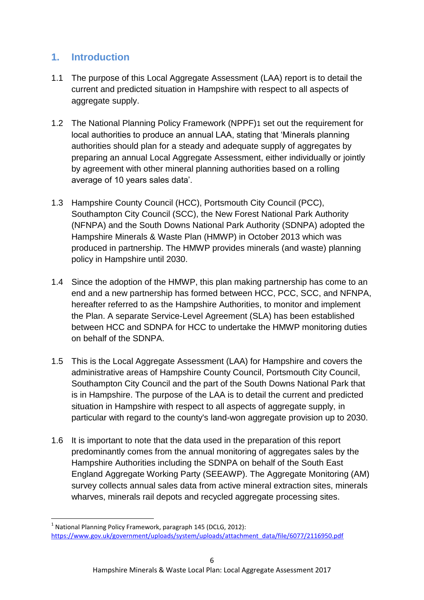# <span id="page-7-0"></span>**1. Introduction**

- 1.1 The purpose of this Local Aggregate Assessment (LAA) report is to detail the current and predicted situation in Hampshire with respect to all aspects of aggregate supply.
- 1.2 The National Planning Policy Framework (NPPF)1 set out the requirement for local authorities to produce an annual LAA, stating that 'Minerals planning authorities should plan for a steady and adequate supply of aggregates by preparing an annual Local Aggregate Assessment, either individually or jointly by agreement with other mineral planning authorities based on a rolling average of 10 years sales data'.
- 1.3 Hampshire County Council (HCC), Portsmouth City Council (PCC), Southampton City Council (SCC), the New Forest National Park Authority (NFNPA) and the South Downs National Park Authority (SDNPA) adopted the Hampshire Minerals & Waste Plan (HMWP) in October 2013 which was produced in partnership. The HMWP provides minerals (and waste) planning policy in Hampshire until 2030.
- 1.4 Since the adoption of the HMWP, this plan making partnership has come to an end and a new partnership has formed between HCC, PCC, SCC, and NFNPA, hereafter referred to as the Hampshire Authorities, to monitor and implement the Plan. A separate Service-Level Agreement (SLA) has been established between HCC and SDNPA for HCC to undertake the HMWP monitoring duties on behalf of the SDNPA.
- 1.5 This is the Local Aggregate Assessment (LAA) for Hampshire and covers the administrative areas of Hampshire County Council, Portsmouth City Council, Southampton City Council and the part of the South Downs National Park that is in Hampshire. The purpose of the LAA is to detail the current and predicted situation in Hampshire with respect to all aspects of aggregate supply, in particular with regard to the county's land-won aggregate provision up to 2030.
- 1.6 It is important to note that the data used in the preparation of this report predominantly comes from the annual monitoring of aggregates sales by the Hampshire Authorities including the SDNPA on behalf of the South East England Aggregate Working Party (SEEAWP). The Aggregate Monitoring (AM) survey collects annual sales data from active mineral extraction sites, minerals wharves, minerals rail depots and recycled aggregate processing sites.

 $<sup>1</sup>$  National Planning Policy Framework, paragraph 145 (DCLG, 2012):</sup> [https://www.gov.uk/government/uploads/system/uploads/attachment\\_data/file/6077/2116950.pdf](https://www.gov.uk/government/uploads/system/uploads/attachment_data/file/6077/2116950.pdf)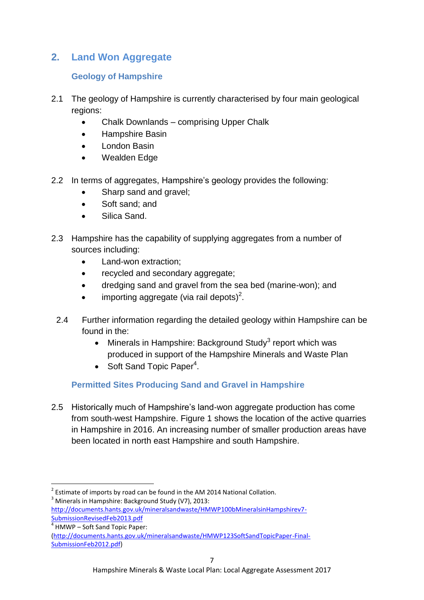# <span id="page-8-1"></span><span id="page-8-0"></span>**2. Land Won Aggregate**

## **Geology of Hampshire**

- 2.1 The geology of Hampshire is currently characterised by four main geological regions:
	- Chalk Downlands comprising Upper Chalk
	- Hampshire Basin
	- London Basin
	- Wealden Edge
- 2.2 In terms of aggregates, Hampshire's geology provides the following:
	- Sharp sand and gravel:
	- Soft sand; and
	- Silica Sand.
- 2.3 Hampshire has the capability of supplying aggregates from a number of sources including:
	- Land-won extraction:
	- recycled and secondary aggregate;
	- dredging sand and gravel from the sea bed (marine-won); and
	- $\bullet$  importing aggregate (via rail depots)<sup>2</sup>.
	- 2.4 Further information regarding the detailed geology within Hampshire can be found in the:
		- Minerals in Hampshire: Background Study<sup>3</sup> report which was produced in support of the Hampshire Minerals and Waste Plan
		- Soft Sand Topic Paper<sup>4</sup>.

# <span id="page-8-2"></span>**Permitted Sites Producing Sand and Gravel in Hampshire**

2.5 Historically much of Hampshire's land-won aggregate production has come from south-west Hampshire. Figure 1 shows the location of the active quarries in Hampshire in 2016. An increasing number of smaller production areas have been located in north east Hampshire and south Hampshire.

 2 Estimate of imports by road can be found in the AM 2014 National Collation. <sup>3</sup> Minerals in Hampshire: Background Study (V7), 2013:

[http://documents.hants.gov.uk/mineralsandwaste/HMWP100bMineralsinHampshirev7-](http://documents.hants.gov.uk/mineralsandwaste/HMWP100bMineralsinHampshirev7-SubmissionRevisedFeb2013.pdf) [SubmissionRevisedFeb2013.pdf](http://documents.hants.gov.uk/mineralsandwaste/HMWP100bMineralsinHampshirev7-SubmissionRevisedFeb2013.pdf)

<sup>4</sup> HMWP – Soft Sand Topic Paper:

[<sup>\(</sup>http://documents.hants.gov.uk/mineralsandwaste/HMWP123SoftSandTopicPaper-Final-](http://documents.hants.gov.uk/mineralsandwaste/HMWP123SoftSandTopicPaper-Final-SubmissionFeb2012.pdf)[SubmissionFeb2012.pdf\)](http://documents.hants.gov.uk/mineralsandwaste/HMWP123SoftSandTopicPaper-Final-SubmissionFeb2012.pdf)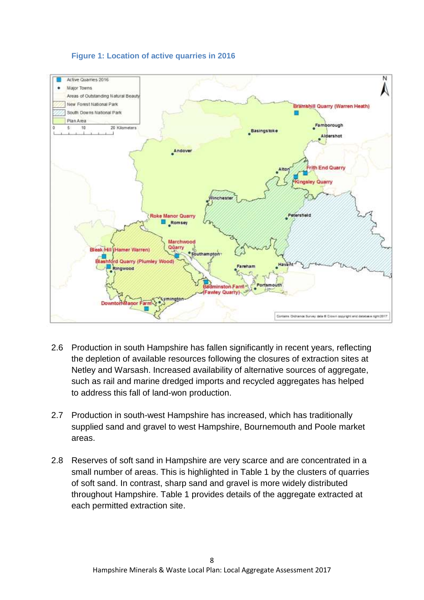#### **Figure 1: Location of active quarries in 2016**

<span id="page-9-0"></span>

- 2.6 Production in south Hampshire has fallen significantly in recent years, reflecting the depletion of available resources following the closures of extraction sites at Netley and Warsash. Increased availability of alternative sources of aggregate, such as rail and marine dredged imports and recycled aggregates has helped to address this fall of land-won production.
- 2.7 Production in south-west Hampshire has increased, which has traditionally supplied sand and gravel to west Hampshire, Bournemouth and Poole market areas.
- 2.8 Reserves of soft sand in Hampshire are very scarce and are concentrated in a small number of areas. This is highlighted in Table 1 by the clusters of quarries of soft sand. In contrast, sharp sand and gravel is more widely distributed throughout Hampshire. Table 1 provides details of the aggregate extracted at each permitted extraction site.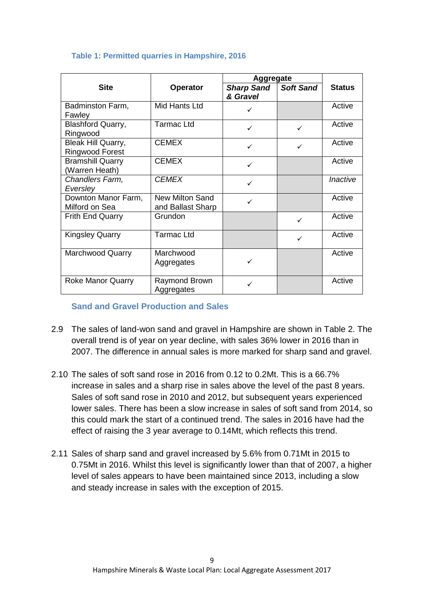|                                              |                                      | <b>Aggregate</b>              |                  |                        |
|----------------------------------------------|--------------------------------------|-------------------------------|------------------|------------------------|
| <b>Site</b>                                  | Operator                             | <b>Sharp Sand</b><br>& Gravel | <b>Soft Sand</b> | <b>Status</b>          |
| Badminston Farm,<br>Fawley                   | Mid Hants Ltd                        | ✓                             |                  | Active                 |
| <b>Blashford Quarry,</b><br>Ringwood         | <b>Tarmac Ltd</b>                    | ✓                             | $\checkmark$     | Active                 |
| Bleak Hill Quarry,<br><b>Ringwood Forest</b> | <b>CEMEX</b>                         | ✓                             | $\checkmark$     | Active                 |
| <b>Bramshill Quarry</b><br>(Warren Heath)    | <b>CEMEX</b>                         | ✓                             |                  | Active                 |
| Chandlers Farm,<br>Eversley                  | <b>CEMEX</b>                         | ✓                             |                  | <i><b>Inactive</b></i> |
| Downton Manor Farm,<br>Milford on Sea        | New Milton Sand<br>and Ballast Sharp | $\checkmark$                  |                  | Active                 |
| <b>Frith End Quarry</b>                      | Grundon                              |                               | $\checkmark$     | Active                 |
| <b>Kingsley Quarry</b>                       | <b>Tarmac Ltd</b>                    |                               | ✓                | Active                 |
| Marchwood Quarry                             | Marchwood<br>Aggregates              | ✓                             |                  | Active                 |
| <b>Roke Manor Quarry</b>                     | Raymond Brown<br>Aggregates          | ✓                             |                  | Active                 |

#### <span id="page-10-1"></span>**Table 1: Permitted quarries in Hampshire, 2016**

#### <span id="page-10-0"></span>**Sand and Gravel Production and Sales**

- 2.9 The sales of land-won sand and gravel in Hampshire are shown in Table 2. The overall trend is of year on year decline, with sales 36% lower in 2016 than in 2007. The difference in annual sales is more marked for sharp sand and gravel.
- 2.10 The sales of soft sand rose in 2016 from 0.12 to 0.2Mt. This is a 66.7% increase in sales and a sharp rise in sales above the level of the past 8 years. Sales of soft sand rose in 2010 and 2012, but subsequent years experienced lower sales. There has been a slow increase in sales of soft sand from 2014, so this could mark the start of a continued trend. The sales in 2016 have had the effect of raising the 3 year average to 0.14Mt, which reflects this trend.
- 2.11 Sales of sharp sand and gravel increased by 5.6% from 0.71Mt in 2015 to 0.75Mt in 2016. Whilst this level is significantly lower than that of 2007, a higher level of sales appears to have been maintained since 2013, including a slow and steady increase in sales with the exception of 2015.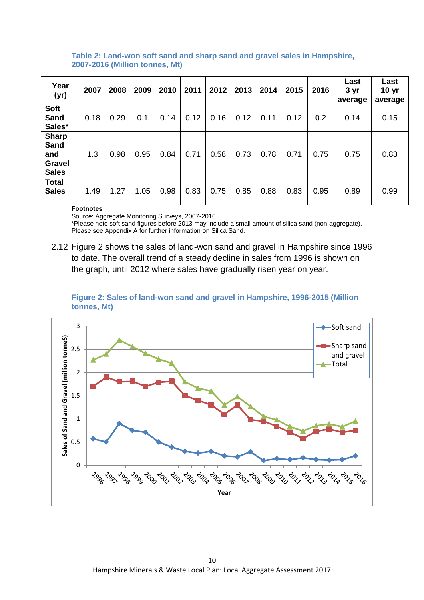#### <span id="page-11-0"></span>**Table 2: Land-won soft sand and sharp sand and gravel sales in Hampshire, 2007-2016 (Million tonnes, Mt)**

| Year<br>(yr)                                                        | 2007 | 2008 | 2009 | 2010 | 2011 | 2012 | 2013 | 2014 | 2015 | 2016 | Last<br>3 yr<br>average | Last<br>10 <sub>yr</sub><br>average |
|---------------------------------------------------------------------|------|------|------|------|------|------|------|------|------|------|-------------------------|-------------------------------------|
| <b>Soft</b><br><b>Sand</b><br>Sales*                                | 0.18 | 0.29 | 0.1  | 0.14 | 0.12 | 0.16 | 0.12 | 0.11 | 0.12 | 0.2  | 0.14                    | 0.15                                |
| <b>Sharp</b><br><b>Sand</b><br>and<br><b>Gravel</b><br><b>Sales</b> | 1.3  | 0.98 | 0.95 | 0.84 | 0.71 | 0.58 | 0.73 | 0.78 | 0.71 | 0.75 | 0.75                    | 0.83                                |
| <b>Total</b><br><b>Sales</b>                                        | 1.49 | 1.27 | 1.05 | 0.98 | 0.83 | 0.75 | 0.85 | 0.88 | 0.83 | 0.95 | 0.89                    | 0.99                                |

#### **Footnotes**

Source: Aggregate Monitoring Surveys, 2007-2016

\*Please note soft sand figures before 2013 may include a small amount of silica sand (non-aggregate). Please see Appendix A for further information on Silica Sand.

2.12 Figure 2 shows the sales of land-won sand and gravel in Hampshire since 1996 to date. The overall trend of a steady decline in sales from 1996 is shown on the graph, until 2012 where sales have gradually risen year on year.

<span id="page-11-1"></span>

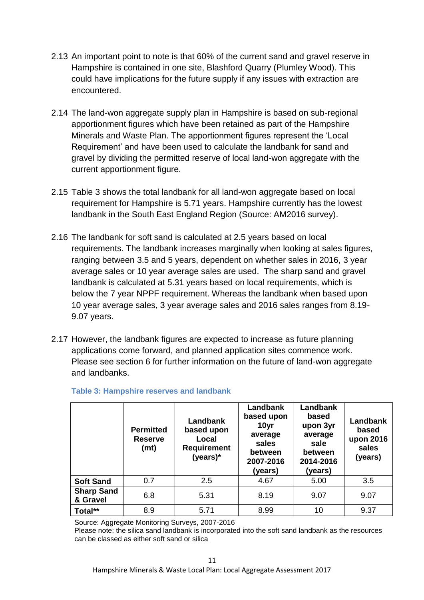- 2.13 An important point to note is that 60% of the current sand and gravel reserve in Hampshire is contained in one site, Blashford Quarry (Plumley Wood). This could have implications for the future supply if any issues with extraction are encountered.
- 2.14 The land-won aggregate supply plan in Hampshire is based on sub-regional apportionment figures which have been retained as part of the Hampshire Minerals and Waste Plan. The apportionment figures represent the 'Local Requirement' and have been used to calculate the landbank for sand and gravel by dividing the permitted reserve of local land-won aggregate with the current apportionment figure.
- 2.15 Table 3 shows the total landbank for all land-won aggregate based on local requirement for Hampshire is 5.71 years. Hampshire currently has the lowest landbank in the South East England Region (Source: AM2016 survey).
- 2.16 The landbank for soft sand is calculated at 2.5 years based on local requirements. The landbank increases marginally when looking at sales figures, ranging between 3.5 and 5 years, dependent on whether sales in 2016, 3 year average sales or 10 year average sales are used. The sharp sand and gravel landbank is calculated at 5.31 years based on local requirements, which is below the 7 year NPPF requirement. Whereas the landbank when based upon 10 year average sales, 3 year average sales and 2016 sales ranges from 8.19- 9.07 years.
- 2.17 However, the landbank figures are expected to increase as future planning applications come forward, and planned application sites commence work. Please see section 6 for further information on the future of land-won aggregate and landbanks.

|                               | <b>Permitted</b><br><b>Reserve</b><br>(m <sub>t</sub> ) | Landbank<br>based upon<br>Local<br><b>Requirement</b><br>(years)* | Landbank<br>based upon<br>10yr<br>average<br>sales<br>between<br>2007-2016<br>(years) | Landbank<br>based<br>upon 3yr<br>average<br>sale<br>between<br>2014-2016<br>(years) | Landbank<br>based<br>upon 2016<br>sales<br>(years) |
|-------------------------------|---------------------------------------------------------|-------------------------------------------------------------------|---------------------------------------------------------------------------------------|-------------------------------------------------------------------------------------|----------------------------------------------------|
| <b>Soft Sand</b>              | 0.7                                                     | 2.5                                                               | 4.67                                                                                  | 5.00                                                                                | 3.5                                                |
| <b>Sharp Sand</b><br>& Gravel | 6.8                                                     | 5.31                                                              | 8.19                                                                                  | 9.07                                                                                | 9.07                                               |
| Total**                       | 8.9                                                     | 5.71                                                              | 8.99                                                                                  | 10                                                                                  | 9.37                                               |

#### <span id="page-12-0"></span>**Table 3: Hampshire reserves and landbank**

Source: Aggregate Monitoring Surveys, 2007-2016

Please note: the silica sand landbank is incorporated into the soft sand landbank as the resources can be classed as either soft sand or silica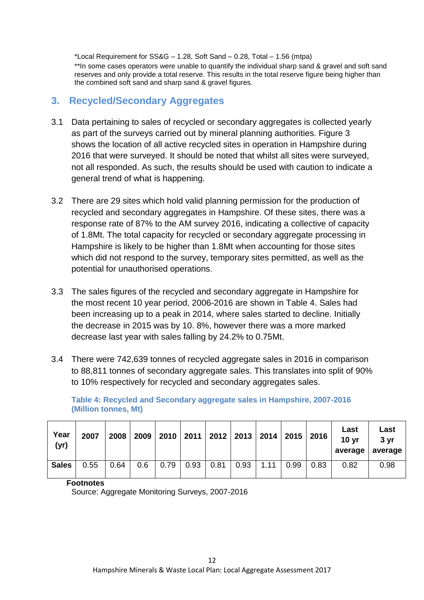\*Local Requirement for SS&G – 1.28, Soft Sand – 0.28, Total – 1.56 (mtpa) \*\*In some cases operators were unable to quantify the individual sharp sand & gravel and soft sand reserves and only provide a total reserve. This results in the total reserve figure being higher than the combined soft sand and sharp sand & gravel figures.

## <span id="page-13-0"></span>**3. Recycled/Secondary Aggregates**

- 3.1 Data pertaining to sales of recycled or secondary aggregates is collected yearly as part of the surveys carried out by mineral planning authorities. Figure 3 shows the location of all active recycled sites in operation in Hampshire during 2016 that were surveyed. It should be noted that whilst all sites were surveyed, not all responded. As such, the results should be used with caution to indicate a general trend of what is happening.
- 3.2 There are 29 sites which hold valid planning permission for the production of recycled and secondary aggregates in Hampshire. Of these sites, there was a response rate of 87% to the AM survey 2016, indicating a collective of capacity of 1.8Mt. The total capacity for recycled or secondary aggregate processing in Hampshire is likely to be higher than 1.8Mt when accounting for those sites which did not respond to the survey, temporary sites permitted, as well as the potential for unauthorised operations.
- <span id="page-13-2"></span>3.3 The sales figures of the recycled and secondary aggregate in Hampshire for the most recent 10 year period, 2006-2016 are shown in Table 4. Sales had been increasing up to a peak in 2014, where sales started to decline. Initially the decrease in 2015 was by 10. 8%, however there was a more marked decrease last year with sales falling by 24.2% to 0.75Mt.
- 3.4 There were 742,639 tonnes of recycled aggregate sales in 2016 in comparison to 88,811 tonnes of secondary aggregate sales. This translates into split of 90% to 10% respectively for recycled and secondary aggregates sales.

| Year<br>(yr) | 2007 | 2008 | 2009 | 2010 | 2011 |      | 2012   2013   2014   2015 |      |      | 2016 | Last<br>10 <sub>vr</sub><br>average | Last<br>3 yr<br>average |
|--------------|------|------|------|------|------|------|---------------------------|------|------|------|-------------------------------------|-------------------------|
| <b>Sales</b> | 0.55 | 0.64 | 0.6  | 0.79 | 0.93 | 0.81 | 0.93                      | 1.11 | 0.99 | 0.83 | 0.82                                | 0.98                    |

<span id="page-13-1"></span>**Table 4: Recycled and Secondary aggregate sales in Hampshire, 2007-2016 (Million tonnes, Mt)**

**Footnotes**

Source: Aggregate Monitoring Surveys, 2007-2016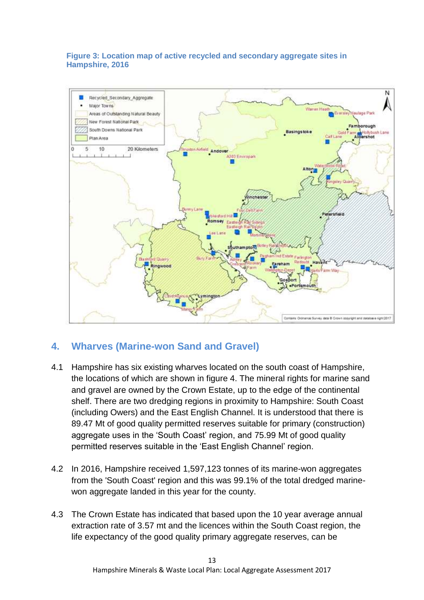#### **Figure 3: Location map of active recycled and secondary aggregate sites in Hampshire, 2016**



# <span id="page-14-0"></span>**4. Wharves (Marine-won Sand and Gravel)**

- 4.1 Hampshire has six existing wharves located on the south coast of Hampshire, the locations of which are shown in figure 4. The mineral rights for marine sand and gravel are owned by the Crown Estate, up to the edge of the continental shelf. There are two dredging regions in proximity to Hampshire: South Coast (including Owers) and the East English Channel. It is understood that there is 89.47 Mt of good quality permitted reserves suitable for primary (construction) aggregate uses in the 'South Coast' region, and 75.99 Mt of good quality permitted reserves suitable in the 'East English Channel' region.
- 4.2 In 2016, Hampshire received 1,597,123 tonnes of its marine-won aggregates from the 'South Coast' region and this was 99.1% of the total dredged marinewon aggregate landed in this year for the county.
- 4.3 The Crown Estate has indicated that based upon the 10 year average annual extraction rate of 3.57 mt and the licences within the South Coast region, the life expectancy of the good quality primary aggregate reserves, can be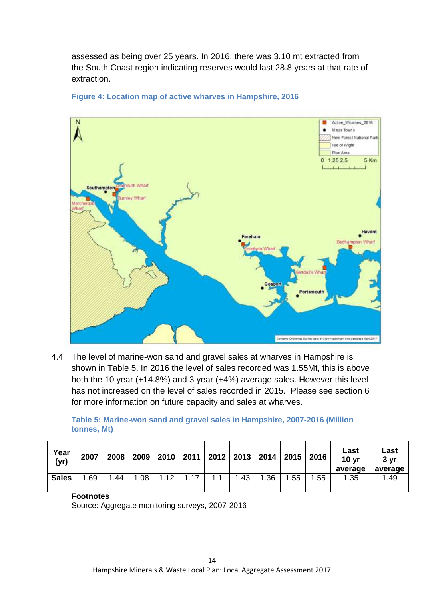assessed as being over 25 years. In 2016, there was 3.10 mt extracted from the South Coast region indicating reserves would last 28.8 years at that rate of extraction.

<span id="page-15-1"></span>

**Figure 4: Location map of active wharves in Hampshire, 2016**

4.4 The level of marine-won sand and gravel sales at wharves in Hampshire is shown in Table 5. In 2016 the level of sales recorded was 1.55Mt, this is above both the 10 year (+14.8%) and 3 year (+4%) average sales. However this level has not increased on the level of sales recorded in 2015. Please see section 6 for more information on future capacity and sales at wharves.

#### <span id="page-15-0"></span>**Table 5: Marine-won sand and gravel sales in Hampshire, 2007-2016 (Million tonnes, Mt)**

| Year<br>(yr) | 2007 | 2008 | 2009 |     |      | <sup>∣</sup> 2010   2011   2012   2013   2014   2015   2016 |     |      |      |      | Last<br>10 <sub>vr</sub><br>average | Last<br>3 <sub>vr</sub><br>average |
|--------------|------|------|------|-----|------|-------------------------------------------------------------|-----|------|------|------|-------------------------------------|------------------------------------|
| <b>Sales</b> | .69  | .44  | 1.08 | 112 | 1.17 | 11                                                          | .43 | 1.36 | 1.55 | 1.55 | 1.35                                | .49                                |

#### **Footnotes**

Source: Aggregate monitoring surveys, 2007-2016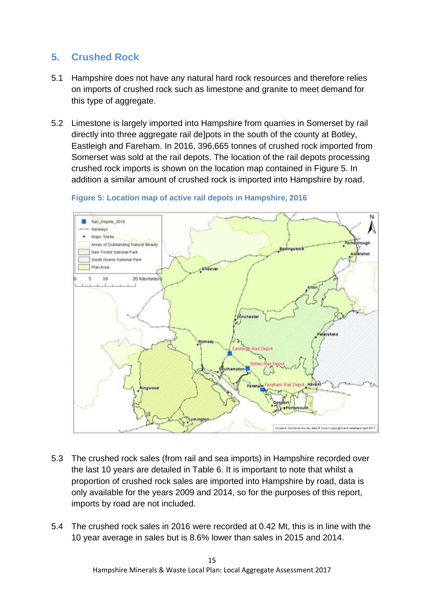# <span id="page-16-0"></span>**5. Crushed Rock**

- 5.1 Hampshire does not have any natural hard rock resources and therefore relies on imports of crushed rock such as limestone and granite to meet demand for this type of aggregate.
- 5.2 Limestone is largely imported into Hampshire from quarries in Somerset by rail directly into three aggregate rail de]pots in the south of the county at Botley, Eastleigh and Fareham. In 2016, 396,665 tonnes of crushed rock imported from Somerset was sold at the rail depots. The location of the rail depots processing crushed rock imports is shown on the location map contained in Figure 5. In addition a similar amount of crushed rock is imported into Hampshire by road.



<span id="page-16-1"></span>**Figure 5: Location map of active rail depots in Hampshire, 2016**

- 5.3 The crushed rock sales (from rail and sea imports) in Hampshire recorded over the last 10 years are detailed in Table 6. It is important to note that whilst a proportion of crushed rock sales are imported into Hampshire by road, data is only available for the years 2009 and 2014, so for the purposes of this report, imports by road are not included.
- 5.4 The crushed rock sales in 2016 were recorded at 0.42 Mt, this is in line with the 10 year average in sales but is 8.6% lower than sales in 2015 and 2014.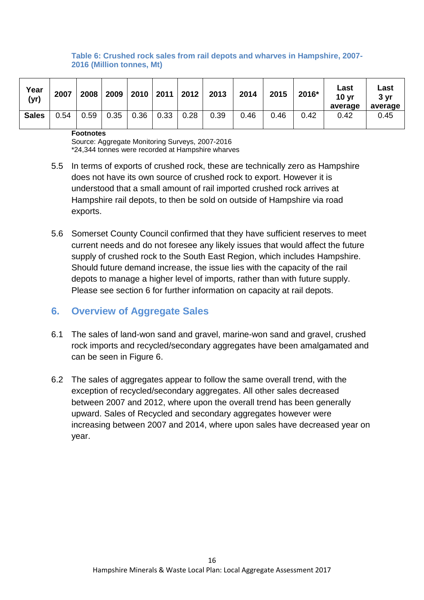#### <span id="page-17-1"></span>**Table 6: Crushed rock sales from rail depots and wharves in Hampshire, 2007- 2016 (Million tonnes, Mt)**

| Year<br>(yr) | 2007 | 2008 | 2009 | 2010 | 2011 | 2012 | 2013 | 2014 | 2015 | 2016* | Last<br>10 <sub>yr</sub><br>average | Last<br>3 yr<br>average |
|--------------|------|------|------|------|------|------|------|------|------|-------|-------------------------------------|-------------------------|
| <b>Sales</b> | 0.54 | 0.59 | 0.35 | 0.36 | 0.33 | 0.28 | 0.39 | 0.46 | 0.46 | 0.42  | 0.42                                | 0.45                    |

#### **Footnotes**

Source: Aggregate Monitoring Surveys, 2007-2016 \*24,344 tonnes were recorded at Hampshire wharves

- 5.5 In terms of exports of crushed rock, these are technically zero as Hampshire does not have its own source of crushed rock to export. However it is understood that a small amount of rail imported crushed rock arrives at Hampshire rail depots, to then be sold on outside of Hampshire via road exports.
- 5.6 Somerset County Council confirmed that they have sufficient reserves to meet current needs and do not foresee any likely issues that would affect the future supply of crushed rock to the South East Region, which includes Hampshire. Should future demand increase, the issue lies with the capacity of the rail depots to manage a higher level of imports, rather than with future supply. Please see section 6 for further information on capacity at rail depots.

### <span id="page-17-0"></span>**6. Overview of Aggregate Sales**

- 6.1 The sales of land-won sand and gravel, marine-won sand and gravel, crushed rock imports and recycled/secondary aggregates have been amalgamated and can be seen in Figure 6.
- 6.2 The sales of aggregates appear to follow the same overall trend, with the exception of recycled/secondary aggregates. All other sales decreased between 2007 and 2012, where upon the overall trend has been generally upward. Sales of Recycled and secondary aggregates however were increasing between 2007 and 2014, where upon sales have decreased year on year.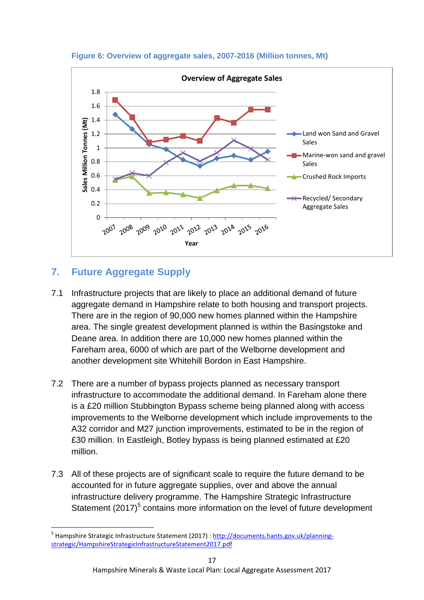

#### **Figure 6: Overview of aggregate sales, 2007-2016 (Million tonnes, Mt)**

# <span id="page-18-0"></span>**7. Future Aggregate Supply**

- 7.1 Infrastructure projects that are likely to place an additional demand of future aggregate demand in Hampshire relate to both housing and transport projects. There are in the region of 90,000 new homes planned within the Hampshire area. The single greatest development planned is within the Basingstoke and Deane area. In addition there are 10,000 new homes planned within the Fareham area, 6000 of which are part of the Welborne development and another development site Whitehill Bordon in East Hampshire.
- 7.2 There are a number of bypass projects planned as necessary transport infrastructure to accommodate the additional demand. In Fareham alone there is a £20 million Stubbington Bypass scheme being planned along with access improvements to the Welborne development which include improvements to the A32 corridor and M27 junction improvements, estimated to be in the region of £30 million. In Eastleigh, Botley bypass is being planned estimated at £20 million.
- 7.3 All of these projects are of significant scale to require the future demand to be accounted for in future aggregate supplies, over and above the annual infrastructure delivery programme. The Hampshire Strategic Infrastructure Statement (2017)<sup>5</sup> contains more information on the level of future development

<sup>&</sup>lt;sup>5</sup> Hampshire Strategic Infrastructure Statement (2017) : [http://documents.hants.gov.uk/planning](http://documents.hants.gov.uk/planning-strategic/HampshireStrategicInfrastructureStatement2017.pdf)[strategic/HampshireStrategicInfrastructureStatement2017.pdf](http://documents.hants.gov.uk/planning-strategic/HampshireStrategicInfrastructureStatement2017.pdf)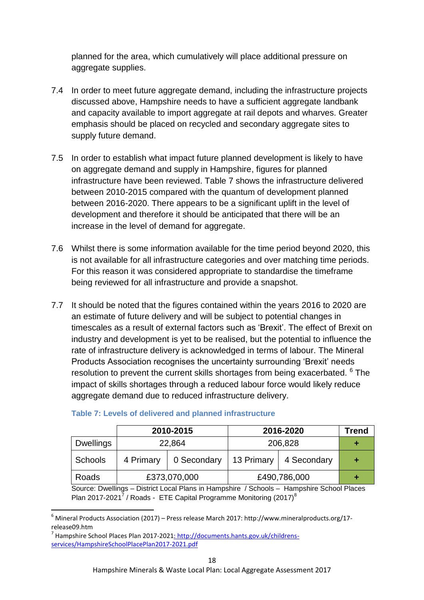planned for the area, which cumulatively will place additional pressure on aggregate supplies.

- 7.4 In order to meet future aggregate demand, including the infrastructure projects discussed above, Hampshire needs to have a sufficient aggregate landbank and capacity available to import aggregate at rail depots and wharves. Greater emphasis should be placed on recycled and secondary aggregate sites to supply future demand.
- 7.5 In order to establish what impact future planned development is likely to have on aggregate demand and supply in Hampshire, figures for planned infrastructure have been reviewed. Table 7 shows the infrastructure delivered between 2010-2015 compared with the quantum of development planned between 2016-2020. There appears to be a significant uplift in the level of development and therefore it should be anticipated that there will be an increase in the level of demand for aggregate.
- 7.6 Whilst there is some information available for the time period beyond 2020, this is not available for all infrastructure categories and over matching time periods. For this reason it was considered appropriate to standardise the timeframe being reviewed for all infrastructure and provide a snapshot.
- 7.7 It should be noted that the figures contained within the years 2016 to 2020 are an estimate of future delivery and will be subject to potential changes in timescales as a result of external factors such as 'Brexit'. The effect of Brexit on industry and development is yet to be realised, but the potential to influence the rate of infrastructure delivery is acknowledged in terms of labour. The Mineral Products Association recognises the uncertainty surrounding 'Brexit' needs resolution to prevent the current skills shortages from being exacerbated. <sup>6</sup> The impact of skills shortages through a reduced labour force would likely reduce aggregate demand due to reduced infrastructure delivery.

|                  |           | 2010-2015    | 2016-2020    | <b>Trend</b> |  |
|------------------|-----------|--------------|--------------|--------------|--|
| <b>Dwellings</b> |           | 22,864       | 206,828      |              |  |
| Schools          | 4 Primary | 0 Secondary  | 13 Primary   | 4 Secondary  |  |
| Roads            |           | £373,070,000 | £490,786,000 |              |  |

#### <span id="page-19-0"></span>**Table 7: Levels of delivered and planned infrastructure**

Source: Dwellings – District Local Plans in Hampshire / Schools – Hampshire School Places Plan 2017-2021<sup>7</sup> / Roads - ETE Capital Programme Monitoring (2017)<sup>8</sup>

<sup>6</sup> Mineral Products Association (2017) – Press release March 2017: http://www.mineralproducts.org/17 release09.htm

<sup>&</sup>lt;sup>7</sup> Hampshire School Places Plan 2017-2021<u>: http://documents.hants.gov.uk/childrens-</u> [services/HampshireSchoolPlacePlan2017-2021.pdf](file://///infldar001/HCC_HomeDrives/envnml/Personal/HantsFile_Checkout_envnml/:%20http:/documents.hants.gov.uk/childrens-services/HampshireSchoolPlacePlan2017-2021.pdf)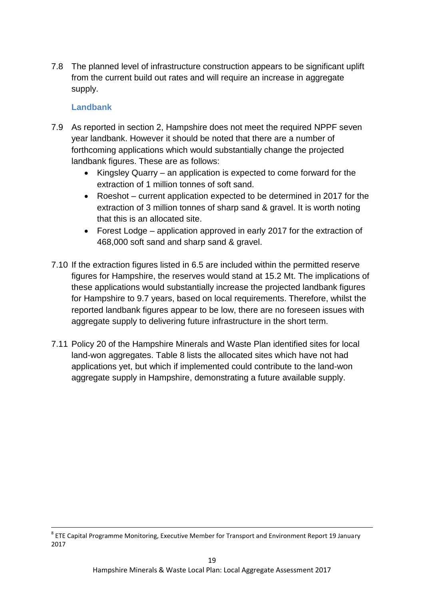7.8 The planned level of infrastructure construction appears to be significant uplift from the current build out rates and will require an increase in aggregate supply.

### **Landbank**

- <span id="page-20-0"></span>7.9 As reported in section 2, Hampshire does not meet the required NPPF seven year landbank. However it should be noted that there are a number of forthcoming applications which would substantially change the projected landbank figures. These are as follows:
	- Kingsley Quarry an application is expected to come forward for the extraction of 1 million tonnes of soft sand.
	- Roeshot current application expected to be determined in 2017 for the extraction of 3 million tonnes of sharp sand & gravel. It is worth noting that this is an allocated site.
	- Forest Lodge application approved in early 2017 for the extraction of 468,000 soft sand and sharp sand & gravel.
- 7.10 If the extraction figures listed in 6.5 are included within the permitted reserve figures for Hampshire, the reserves would stand at 15.2 Mt. The implications of these applications would substantially increase the projected landbank figures for Hampshire to 9.7 years, based on local requirements. Therefore, whilst the reported landbank figures appear to be low, there are no foreseen issues with aggregate supply to delivering future infrastructure in the short term.
- 7.11 Policy 20 of the Hampshire Minerals and Waste Plan identified sites for local land-won aggregates. Table 8 lists the allocated sites which have not had applications yet, but which if implemented could contribute to the land-won aggregate supply in Hampshire, demonstrating a future available supply.

 $^8$  ETE Capital Programme Monitoring, Executive Member for Transport and Environment Report 19 January 2017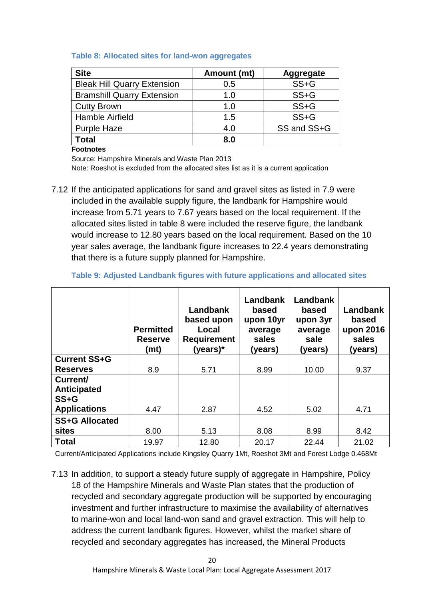| <b>Site</b>                        | Amount (mt) | <b>Aggregate</b> |
|------------------------------------|-------------|------------------|
| <b>Bleak Hill Quarry Extension</b> | 0.5         | $SS+G$           |
| <b>Bramshill Quarry Extension</b>  | 1.0         | $SS+G$           |
| <b>Cutty Brown</b>                 | 1.0         | $SS+G$           |
| Hamble Airfield                    | 1.5         | $SS+G$           |
| <b>Purple Haze</b>                 | 4.0         | SS and SS+G      |
| <b>Total</b>                       | 8.0         |                  |

#### <span id="page-21-0"></span>**Table 8: Allocated sites for land-won aggregates**

**Footnotes**

Source: Hampshire Minerals and Waste Plan 2013

Note: Roeshot is excluded from the allocated sites list as it is a current application

7.12 If the anticipated applications for sand and gravel sites as listed in 7.9 were included in the available supply figure, the landbank for Hampshire would increase from 5.71 years to 7.67 years based on the local requirement. If the allocated sites listed in table 8 were included the reserve figure, the landbank would increase to 12.80 years based on the local requirement. Based on the 10 year sales average, the landbank figure increases to 22.4 years demonstrating that there is a future supply planned for Hampshire.

|  |  |  |  | Table 9: Adjusted Landbank figures with future applications and allocated sites |
|--|--|--|--|---------------------------------------------------------------------------------|
|  |  |  |  |                                                                                 |

<span id="page-21-1"></span>

|                       | <b>Permitted</b><br><b>Reserve</b><br>(mt) | Landbank<br>based upon<br>Local<br><b>Requirement</b><br>(years)* | Landbank<br>based<br>upon 10yr<br>average<br>sales<br>(years) | Landbank<br>based<br>upon 3yr<br>average<br>sale<br>(years) | Landbank<br>based<br>upon 2016<br>sales<br>(years) |
|-----------------------|--------------------------------------------|-------------------------------------------------------------------|---------------------------------------------------------------|-------------------------------------------------------------|----------------------------------------------------|
| <b>Current SS+G</b>   |                                            |                                                                   |                                                               |                                                             |                                                    |
| <b>Reserves</b>       | 8.9                                        | 5.71                                                              | 8.99                                                          | 10.00                                                       | 9.37                                               |
| Current/              |                                            |                                                                   |                                                               |                                                             |                                                    |
| <b>Anticipated</b>    |                                            |                                                                   |                                                               |                                                             |                                                    |
| $SS+G$                |                                            |                                                                   |                                                               |                                                             |                                                    |
| <b>Applications</b>   | 4.47                                       | 2.87                                                              | 4.52                                                          | 5.02                                                        | 4.71                                               |
| <b>SS+G Allocated</b> |                                            |                                                                   |                                                               |                                                             |                                                    |
| <b>sites</b>          | 8.00                                       | 5.13                                                              | 8.08                                                          | 8.99                                                        | 8.42                                               |
| <b>Total</b>          | 19.97                                      | 12.80                                                             | 20.17                                                         | 22.44                                                       | 21.02                                              |

Current/Anticipated Applications include Kingsley Quarry 1Mt, Roeshot 3Mt and Forest Lodge 0.468Mt

7.13 In addition, to support a steady future supply of aggregate in Hampshire, Policy 18 of the Hampshire Minerals and Waste Plan states that the production of recycled and secondary aggregate production will be supported by encouraging investment and further infrastructure to maximise the availability of alternatives to marine-won and local land-won sand and gravel extraction. This will help to address the current landbank figures. However, whilst the market share of recycled and secondary aggregates has increased, the Mineral Products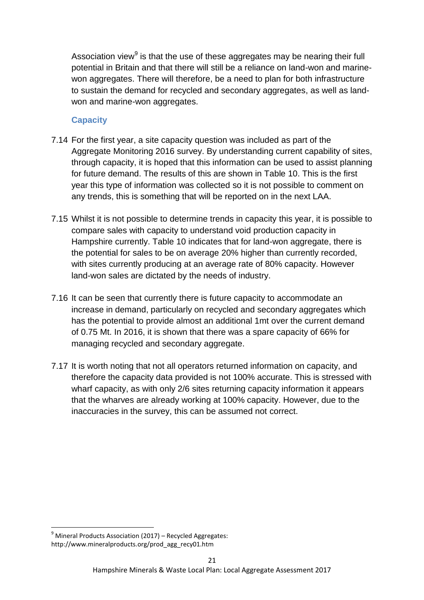Association view $9$  is that the use of these aggregates may be nearing their full potential in Britain and that there will still be a reliance on land-won and marinewon aggregates. There will therefore, be a need to plan for both infrastructure to sustain the demand for recycled and secondary aggregates, as well as landwon and marine-won aggregates.

### **Capacity**

- <span id="page-22-0"></span>7.14 For the first year, a site capacity question was included as part of the Aggregate Monitoring 2016 survey. By understanding current capability of sites, through capacity, it is hoped that this information can be used to assist planning for future demand. The results of this are shown in Table 10. This is the first year this type of information was collected so it is not possible to comment on any trends, this is something that will be reported on in the next LAA.
- 7.15 Whilst it is not possible to determine trends in capacity this year, it is possible to compare sales with capacity to understand void production capacity in Hampshire currently. Table 10 indicates that for land-won aggregate, there is the potential for sales to be on average 20% higher than currently recorded, with sites currently producing at an average rate of 80% capacity. However land-won sales are dictated by the needs of industry.
- 7.16 It can be seen that currently there is future capacity to accommodate an increase in demand, particularly on recycled and secondary aggregates which has the potential to provide almost an additional 1mt over the current demand of 0.75 Mt. In 2016, it is shown that there was a spare capacity of 66% for managing recycled and secondary aggregate.
- 7.17 It is worth noting that not all operators returned information on capacity, and therefore the capacity data provided is not 100% accurate. This is stressed with wharf capacity, as with only 2/6 sites returning capacity information it appears that the wharves are already working at 100% capacity. However, due to the inaccuracies in the survey, this can be assumed not correct.

**<sup>.</sup>**  $9$  Mineral Products Association (2017) – Recycled Aggregates: http://www.mineralproducts.org/prod\_agg\_recy01.htm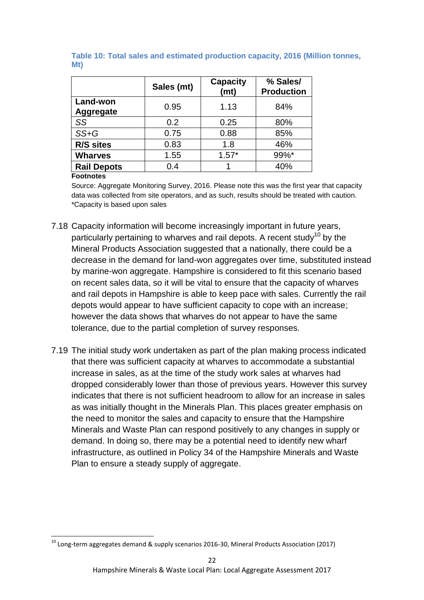|                              | Sales (mt) | <b>Capacity</b><br>(mt) | % Sales/<br><b>Production</b> |  |
|------------------------------|------------|-------------------------|-------------------------------|--|
| Land-won<br><b>Aggregate</b> | 0.95       | 1.13                    | 84%                           |  |
| SS                           | 0.2        | 0.25                    | 80%                           |  |
| $SS + G$                     | 0.75       | 0.88                    | 85%                           |  |
| <b>R/S sites</b>             | 0.83       | 1.8                     | 46%                           |  |
| <b>Wharves</b>               | 1.55       | $1.57*$                 | 99%*                          |  |
| <b>Rail Depots</b>           | 0.4        |                         | 40%                           |  |

#### <span id="page-23-0"></span>**Table 10: Total sales and estimated production capacity, 2016 (Million tonnes, Mt)**

#### **Footnotes**

**.** 

Source: Aggregate Monitoring Survey, 2016. Please note this was the first year that capacity data was collected from site operators, and as such, results should be treated with caution. \*Capacity is based upon sales

- 7.18 Capacity information will become increasingly important in future years, particularly pertaining to wharves and rail depots. A recent study<sup>10</sup> by the Mineral Products Association suggested that a nationally, there could be a decrease in the demand for land-won aggregates over time, substituted instead by marine-won aggregate. Hampshire is considered to fit this scenario based on recent sales data, so it will be vital to ensure that the capacity of wharves and rail depots in Hampshire is able to keep pace with sales. Currently the rail depots would appear to have sufficient capacity to cope with an increase; however the data shows that wharves do not appear to have the same tolerance, due to the partial completion of survey responses.
- 7.19 The initial study work undertaken as part of the plan making process indicated that there was sufficient capacity at wharves to accommodate a substantial increase in sales, as at the time of the study work sales at wharves had dropped considerably lower than those of previous years. However this survey indicates that there is not sufficient headroom to allow for an increase in sales as was initially thought in the Minerals Plan. This places greater emphasis on the need to monitor the sales and capacity to ensure that the Hampshire Minerals and Waste Plan can respond positively to any changes in supply or demand. In doing so, there may be a potential need to identify new wharf infrastructure, as outlined in Policy 34 of the Hampshire Minerals and Waste Plan to ensure a steady supply of aggregate.

 $10$  Long-term aggregates demand & supply scenarios 2016-30, Mineral Products Association (2017)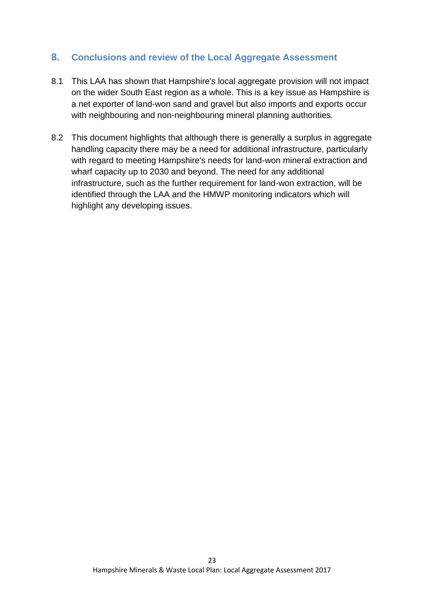## <span id="page-24-0"></span>**8. Conclusions and review of the Local Aggregate Assessment**

- 8.1 This LAA has shown that Hampshire's local aggregate provision will not impact on the wider South East region as a whole. This is a key issue as Hampshire is a net exporter of land-won sand and gravel but also imports and exports occur with neighbouring and non-neighbouring mineral planning authorities.
- 8.2 This document highlights that although there is generally a surplus in aggregate handling capacity there may be a need for additional infrastructure, particularly with regard to meeting Hampshire's needs for land-won mineral extraction and wharf capacity up to 2030 and beyond. The need for any additional infrastructure, such as the further requirement for land-won extraction, will be identified through the LAA and the HMWP monitoring indicators which will highlight any developing issues.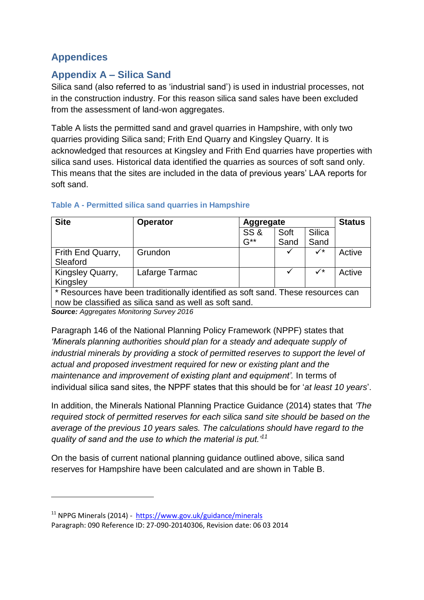# <span id="page-25-0"></span>**Appendices**

# <span id="page-25-1"></span>**Appendix A – Silica Sand**

Silica sand (also referred to as 'industrial sand') is used in industrial processes, not in the construction industry. For this reason silica sand sales have been excluded from the assessment of land-won aggregates.

Table A lists the permitted sand and gravel quarries in Hampshire, with only two quarries providing Silica sand; Frith End Quarry and Kingsley Quarry. It is acknowledged that resources at Kingsley and Frith End quarries have properties with silica sand uses. Historical data identified the quarries as sources of soft sand only. This means that the sites are included in the data of previous years' LAA reports for soft sand.

| <b>Site</b>                                                                      | <b>Operator</b> | Aggregate       |      |                | <b>Status</b> |  |
|----------------------------------------------------------------------------------|-----------------|-----------------|------|----------------|---------------|--|
|                                                                                  |                 | <b>SS &amp;</b> | Soft | <b>Silica</b>  |               |  |
|                                                                                  |                 | $G^{**}$        | Sand | Sand           |               |  |
| Frith End Quarry,                                                                | Grundon         |                 |      | $\checkmark^*$ | Active        |  |
| Sleaford                                                                         |                 |                 |      |                |               |  |
| Kingsley Quarry,                                                                 | Lafarge Tarmac  |                 |      | $\checkmark^*$ | Active        |  |
| Kingsley                                                                         |                 |                 |      |                |               |  |
| * Resources have been traditionally identified as soft sand. These resources can |                 |                 |      |                |               |  |
| now be classified as silica sand as well as soft sand.                           |                 |                 |      |                |               |  |
| Course Assessed Monitorian Current 0010                                          |                 |                 |      |                |               |  |

### **Table A - Permitted silica sand quarries in Hampshire**

*Source: Aggregates Monitoring Survey 2016*

 $\overline{a}$ 

Paragraph 146 of the National Planning Policy Framework (NPPF) states that *'Minerals planning authorities should plan for a steady and adequate supply of industrial minerals by providing a stock of permitted reserves to support the level of actual and proposed investment required for new or existing plant and the maintenance and improvement of existing plant and equipment'.* In terms of individual silica sand sites, the NPPF states that this should be for '*at least 10 years*'.

In addition, the Minerals National Planning Practice Guidance (2014) states that *'The required stock of permitted reserves for each silica sand site should be based on the average of the previous 10 years sales. The calculations should have regard to the quality of sand and the use to which the material is put.'<sup>11</sup>*

On the basis of current national planning guidance outlined above, silica sand reserves for Hampshire have been calculated and are shown in Table B.

<sup>&</sup>lt;sup>11</sup> NPPG Minerals (2014) - https://www.gov.uk/guidance/minerals

Paragraph: 090 Reference ID: 27-090-20140306, Revision date: 06 03 2014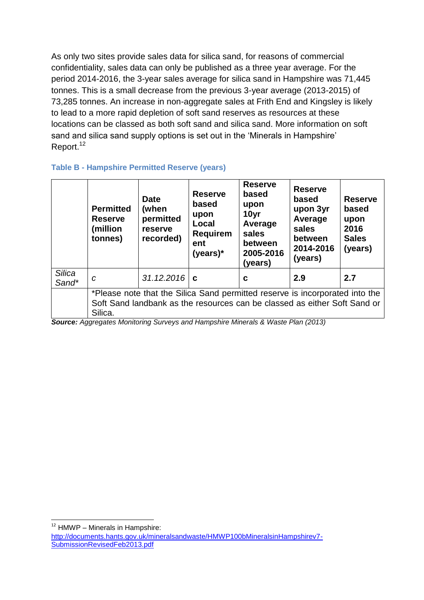As only two sites provide sales data for silica sand, for reasons of commercial confidentiality, sales data can only be published as a three year average. For the period 2014-2016, the 3-year sales average for silica sand in Hampshire was 71,445 tonnes. This is a small decrease from the previous 3-year average (2013-2015) of 73,285 tonnes. An increase in non-aggregate sales at Frith End and Kingsley is likely to lead to a more rapid depletion of soft sand reserves as resources at these locations can be classed as both soft sand and silica sand. More information on soft sand and silica sand supply options is set out in the 'Minerals in Hampshire' Report.<sup>12</sup>

### **Table B - Hampshire Permitted Reserve (years)**

|                        | <b>Permitted</b><br><b>Reserve</b><br>(million<br>tonnes)                                                                                                            | <b>Date</b><br>(when<br>permitted<br>reserve<br>recorded) | <b>Reserve</b><br>based<br>upon<br>Local<br><b>Requirem</b><br>ent<br>(years) $*$ | <b>Reserve</b><br>based<br>upon<br>10yr<br>Average<br>sales<br>between<br>2005-2016<br>(years) | <b>Reserve</b><br>based<br>upon 3yr<br>Average<br>sales<br>between<br>2014-2016<br>(years) | <b>Reserve</b><br>based<br>upon<br>2016<br><b>Sales</b><br>(years) |
|------------------------|----------------------------------------------------------------------------------------------------------------------------------------------------------------------|-----------------------------------------------------------|-----------------------------------------------------------------------------------|------------------------------------------------------------------------------------------------|--------------------------------------------------------------------------------------------|--------------------------------------------------------------------|
| <b>Silica</b><br>Sand* | C                                                                                                                                                                    | 31.12.2016 $c$                                            |                                                                                   | С                                                                                              | 2.9                                                                                        | 2.7                                                                |
|                        | *Please note that the Silica Sand permitted reserve is incorporated into the<br>Soft Sand landbank as the resources can be classed as either Soft Sand or<br>Silica. |                                                           |                                                                                   |                                                                                                |                                                                                            |                                                                    |

*Source: Aggregates Monitoring Surveys and Hampshire Minerals & Waste Plan (2013)*

**.**  $12$  HMWP – Minerals in Hampshire:

[http://documents.hants.gov.uk/mineralsandwaste/HMWP100bMineralsinHampshirev7-](http://documents.hants.gov.uk/mineralsandwaste/HMWP100bMineralsinHampshirev7-SubmissionRevisedFeb2013.pdf) [SubmissionRevisedFeb2013.pdf](http://documents.hants.gov.uk/mineralsandwaste/HMWP100bMineralsinHampshirev7-SubmissionRevisedFeb2013.pdf)